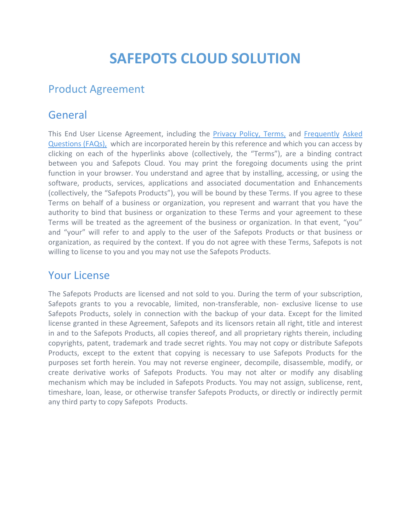# **SAFEPOTS CLOUD SOLUTION**

## Product Agreement

#### General

This End User License Agreement, including the [Privacy](https://safepots.com/privacy-policy.aspx) Policy, [Terms,](https://safepots.com/terms.aspx) and [Frequently](http://help.safepots.com/) [Asked](http://help.safepots.com/) [Questions](http://help.safepots.com/) (FAQs), which are incorporated herein by this reference and which you can access by clicking on each of the hyperlinks above (collectively, the "Terms"), are a binding contract between you and Safepots Cloud. You may print the foregoing documents using the print function in your browser. You understand and agree that by installing, accessing, or using the software, products, services, applications and associated documentation and Enhancements (collectively, the "Safepots Products"), you will be bound by these Terms. If you agree to these Terms on behalf of a business or organization, you represent and warrant that you have the authority to bind that business or organization to these Terms and your agreement to these Terms will be treated as the agreement of the business or organization. In that event, "you" and "your" will refer to and apply to the user of the Safepots Products or that business or organization, as required by the context. If you do not agree with these Terms, Safepots is not willing to license to you and you may not use the Safepots Products.

#### Your License

The Safepots Products are licensed and not sold to you. During the term of your subscription, Safepots grants to you a revocable, limited, non-transferable, non- exclusive license to use Safepots Products, solely in connection with the backup of your data. Except for the limited license granted in these Agreement, Safepots and its licensors retain all right, title and interest in and to the Safepots Products, all copies thereof, and all proprietary rights therein, including copyrights, patent, trademark and trade secret rights. You may not copy or distribute Safepots Products, except to the extent that copying is necessary to use Safepots Products for the purposes set forth herein. You may not reverse engineer, decompile, disassemble, modify, or create derivative works of Safepots Products. You may not alter or modify any disabling mechanism which may be included in Safepots Products. You may not assign, sublicense, rent, timeshare, loan, lease, or otherwise transfer Safepots Products, or directly or indirectly permit any third party to copy Safepots Products.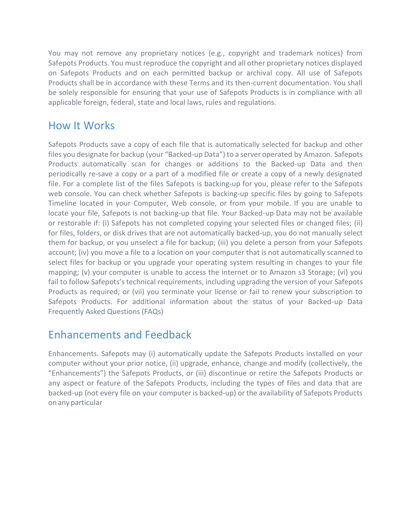You may not remove any proprietary notices (e.g., copyright and trademark notices) from Safepots Products. You must reproduce the copyright and all other proprietary notices displayed on Safepots Products and on each permitted backup or archival copy. All use of Safepots Products shall be in accordance with these Terms and its then-current documentation. You shall be solely responsible for ensuring that your use of Safepots Products is in compliance with all applicable foreign, federal, state and local laws, rules and regulations.

#### How It Works

Safepots Products save a copy of each file that is automatically selected for backup and other files you designate for backup (your "Backed-up Data") to a server operated by Amazon. Safepots Products automatically scan for changes or additions to the Backed-up Data and then periodically re-save a copy or a part of a modified file or create a copy of a newly designated file. For a complete list of the files Safepots is backing-up for you, please refer to the Safepots web console. You can check whether Safepots is backing-up specific files by going to Safepots Timeline located in your Computer, Web console, or from your mobile. If you are unable to locate your file, Safepots is not backing-up that file. Your Backed-up Data may not be available or restorable if: (i) Safepots has not completed copying your selected files or changed files; (ii) for files, folders, or disk drives that are not automatically backed-up, you do not manually select them for backup, or you unselect a file for backup; (iii) you delete a person from your Safepots account; (iv) you move a file to a location on your computer that is not automatically scanned to select files for backup or you upgrade your operating system resulting in changes to your file mapping; (v) your computer is unable to access the internet or to Amazon s3 Storage; (vi) you fail to follow Safepots's technical requirements, including upgrading the version of your Safepots Products as required; or (vii) you terminate your license or fail to renew your subscription to Safepots Products. For additional information about the status of your Backed-up Data Frequently Asked Questions (FAQs)

## Enhancements and Feedback

Enhancements. Safepots may (i) automatically update the Safepots Products installed on your computer without your prior notice, (ii) upgrade, enhance, change and modify (collectively, the "Enhancements") the Safepots Products, or (iii) discontinue or retire the Safepots Products or any aspect or feature of the Safepots Products, including the types of files and data that are backed-up (not every file on your computer is backed-up) or the availability of Safepots Products on any particular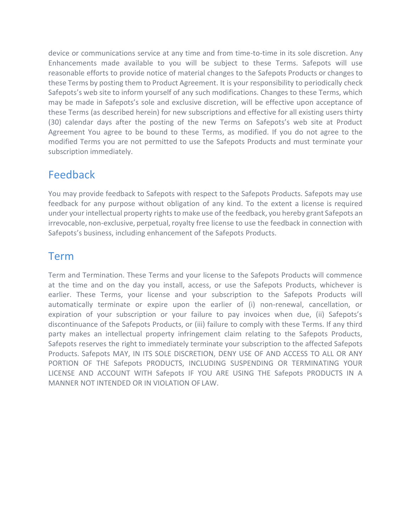device or communications service at any time and from time-to-time in its sole discretion. Any Enhancements made available to you will be subject to these Terms. Safepots will use reasonable efforts to provide notice of material changes to the Safepots Products or changes to these Terms by posting them to Product Agreement. It is your responsibility to periodically check Safepots's web site to inform yourself of any such modifications. Changes to these Terms, which may be made in Safepots's sole and exclusive discretion, will be effective upon acceptance of these Terms (as described herein) for new subscriptions and effective for all existing users thirty (30) calendar days after the posting of the new Terms on Safepots's web site at Product Agreement You agree to be bound to these Terms, as modified. If you do not agree to the modified Terms you are not permitted to use the Safepots Products and must terminate your subscription immediately.

## Feedback

You may provide feedback to Safepots with respect to the Safepots Products. Safepots may use feedback for any purpose without obligation of any kind. To the extent a license is required under your intellectual property rights to make use of the feedback, you hereby grant Safepots an irrevocable, non-exclusive, perpetual, royalty free license to use the feedback in connection with Safepots's business, including enhancement of the Safepots Products.

## Term

Term and Termination. These Terms and your license to the Safepots Products will commence at the time and on the day you install, access, or use the Safepots Products, whichever is earlier. These Terms, your license and your subscription to the Safepots Products will automatically terminate or expire upon the earlier of (i) non-renewal, cancellation, or expiration of your subscription or your failure to pay invoices when due, (ii) Safepots's discontinuance of the Safepots Products, or (iii) failure to comply with these Terms. If any third party makes an intellectual property infringement claim relating to the Safepots Products, Safepots reserves the right to immediately terminate your subscription to the affected Safepots Products. Safepots MAY, IN ITS SOLE DISCRETION, DENY USE OF AND ACCESS TO ALL OR ANY PORTION OF THE Safepots PRODUCTS, INCLUDING SUSPENDING OR TERMINATING YOUR LICENSE AND ACCOUNT WITH Safepots IF YOU ARE USING THE Safepots PRODUCTS IN A MANNER NOT INTENDED OR IN VIOLATION OF LAW.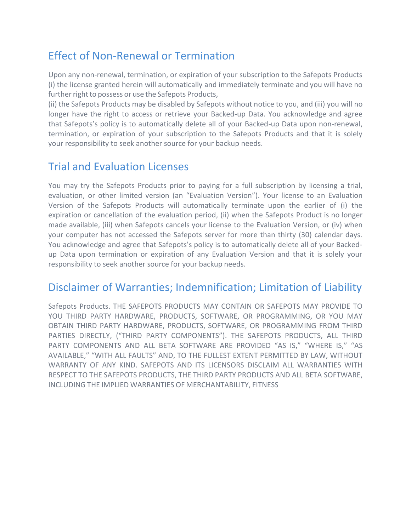# Effect of Non-Renewal or Termination

Upon any non-renewal, termination, or expiration of your subscription to the Safepots Products (i) the license granted herein will automatically and immediately terminate and you will have no further right to possess or use the Safepots Products,

(ii) the Safepots Products may be disabled by Safepots without notice to you, and (iii) you will no longer have the right to access or retrieve your Backed-up Data. You acknowledge and agree that Safepots's policy is to automatically delete all of your Backed-up Data upon non-renewal, termination, or expiration of your subscription to the Safepots Products and that it is solely your responsibility to seek another source for your backup needs.

## Trial and Evaluation Licenses

You may try the Safepots Products prior to paying for a full subscription by licensing a trial, evaluation, or other limited version (an "Evaluation Version"). Your license to an Evaluation Version of the Safepots Products will automatically terminate upon the earlier of (i) the expiration or cancellation of the evaluation period, (ii) when the Safepots Product is no longer made available, (iii) when Safepots cancels your license to the Evaluation Version, or (iv) when your computer has not accessed the Safepots server for more than thirty (30) calendar days. You acknowledge and agree that Safepots's policy is to automatically delete all of your Backedup Data upon termination or expiration of any Evaluation Version and that it is solely your responsibility to seek another source for your backup needs.

## Disclaimer of Warranties; Indemnification; Limitation of Liability

Safepots Products. THE SAFEPOTS PRODUCTS MAY CONTAIN OR SAFEPOTS MAY PROVIDE TO YOU THIRD PARTY HARDWARE, PRODUCTS, SOFTWARE, OR PROGRAMMING, OR YOU MAY OBTAIN THIRD PARTY HARDWARE, PRODUCTS, SOFTWARE, OR PROGRAMMING FROM THIRD PARTIES DIRECTLY, ("THIRD PARTY COMPONENTS"). THE SAFEPOTS PRODUCTS, ALL THIRD PARTY COMPONENTS AND ALL BETA SOFTWARE ARE PROVIDED "AS IS," "WHERE IS," "AS AVAILABLE," "WITH ALL FAULTS" AND, TO THE FULLEST EXTENT PERMITTED BY LAW, WITHOUT WARRANTY OF ANY KIND. SAFEPOTS AND ITS LICENSORS DISCLAIM ALL WARRANTIES WITH RESPECT TO THE SAFEPOTS PRODUCTS, THE THIRD PARTY PRODUCTS AND ALL BETA SOFTWARE, INCLUDING THE IMPLIED WARRANTIES OF MERCHANTABILITY, FITNESS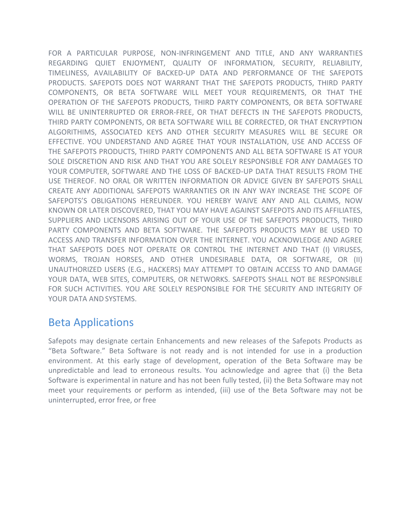FOR A PARTICULAR PURPOSE, NON-INFRINGEMENT AND TITLE, AND ANY WARRANTIES REGARDING QUIET ENJOYMENT, QUALITY OF INFORMATION, SECURITY, RELIABILITY, TIMELINESS, AVAILABILITY OF BACKED-UP DATA AND PERFORMANCE OF THE SAFEPOTS PRODUCTS. SAFEPOTS DOES NOT WARRANT THAT THE SAFEPOTS PRODUCTS, THIRD PARTY COMPONENTS, OR BETA SOFTWARE WILL MEET YOUR REQUIREMENTS, OR THAT THE OPERATION OF THE SAFEPOTS PRODUCTS, THIRD PARTY COMPONENTS, OR BETA SOFTWARE WILL BE UNINTERRUPTED OR ERROR-FREE, OR THAT DEFECTS IN THE SAFEPOTS PRODUCTS, THIRD PARTY COMPONENTS, OR BETA SOFTWARE WILL BE CORRECTED, OR THAT ENCRYPTION ALGORITHIMS, ASSOCIATED KEYS AND OTHER SECURITY MEASURES WILL BE SECURE OR EFFECTIVE. YOU UNDERSTAND AND AGREE THAT YOUR INSTALLATION, USE AND ACCESS OF THE SAFEPOTS PRODUCTS, THIRD PARTY COMPONENTS AND ALL BETA SOFTWARE IS AT YOUR SOLE DISCRETION AND RISK AND THAT YOU ARE SOLELY RESPONSIBLE FOR ANY DAMAGES TO YOUR COMPUTER, SOFTWARE AND THE LOSS OF BACKED-UP DATA THAT RESULTS FROM THE USE THEREOF. NO ORAL OR WRITTEN INFORMATION OR ADVICE GIVEN BY SAFEPOTS SHALL CREATE ANY ADDITIONAL SAFEPOTS WARRANTIES OR IN ANY WAY INCREASE THE SCOPE OF SAFEPOTS'S OBLIGATIONS HEREUNDER. YOU HEREBY WAIVE ANY AND ALL CLAIMS, NOW KNOWN OR LATER DISCOVERED, THAT YOU MAY HAVE AGAINST SAFEPOTS AND ITS AFFILIATES, SUPPLIERS AND LICENSORS ARISING OUT OF YOUR USE OF THE SAFEPOTS PRODUCTS, THIRD PARTY COMPONENTS AND BETA SOFTWARE. THE SAFEPOTS PRODUCTS MAY BE USED TO ACCESS AND TRANSFER INFORMATION OVER THE INTERNET. YOU ACKNOWLEDGE AND AGREE THAT SAFEPOTS DOES NOT OPERATE OR CONTROL THE INTERNET AND THAT (I) VIRUSES, WORMS, TROJAN HORSES, AND OTHER UNDESIRABLE DATA, OR SOFTWARE, OR (II) UNAUTHORIZED USERS (E.G., HACKERS) MAY ATTEMPT TO OBTAIN ACCESS TO AND DAMAGE YOUR DATA, WEB SITES, COMPUTERS, OR NETWORKS. SAFEPOTS SHALL NOT BE RESPONSIBLE FOR SUCH ACTIVITIES. YOU ARE SOLELY RESPONSIBLE FOR THE SECURITY AND INTEGRITY OF YOUR DATA AND SYSTEMS.

#### Beta Applications

Safepots may designate certain Enhancements and new releases of the Safepots Products as "Beta Software." Beta Software is not ready and is not intended for use in a production environment. At this early stage of development, operation of the Beta Software may be unpredictable and lead to erroneous results. You acknowledge and agree that (i) the Beta Software is experimental in nature and has not been fully tested, (ii) the Beta Software may not meet your requirements or perform as intended, (iii) use of the Beta Software may not be uninterrupted, error free, or free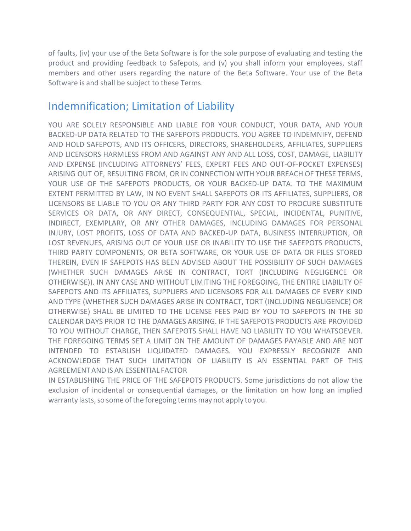of faults, (iv) your use of the Beta Software is for the sole purpose of evaluating and testing the product and providing feedback to Safepots, and (v) you shall inform your employees, staff members and other users regarding the nature of the Beta Software. Your use of the Beta Software is and shall be subject to these Terms.

#### Indemnification; Limitation of Liability

YOU ARE SOLELY RESPONSIBLE AND LIABLE FOR YOUR CONDUCT, YOUR DATA, AND YOUR BACKED-UP DATA RELATED TO THE SAFEPOTS PRODUCTS. YOU AGREE TO INDEMNIFY, DEFEND AND HOLD SAFEPOTS, AND ITS OFFICERS, DIRECTORS, SHAREHOLDERS, AFFILIATES, SUPPLIERS AND LICENSORS HARMLESS FROM AND AGAINST ANY AND ALL LOSS, COST, DAMAGE, LIABILITY AND EXPENSE (INCLUDING ATTORNEYS' FEES, EXPERT FEES AND OUT-OF-POCKET EXPENSES) ARISING OUT OF, RESULTING FROM, OR IN CONNECTION WITH YOUR BREACH OF THESE TERMS, YOUR USE OF THE SAFEPOTS PRODUCTS, OR YOUR BACKED-UP DATA. TO THE MAXIMUM EXTENT PERMITTED BY LAW, IN NO EVENT SHALL SAFEPOTS OR ITS AFFILIATES, SUPPLIERS, OR LICENSORS BE LIABLE TO YOU OR ANY THIRD PARTY FOR ANY COST TO PROCURE SUBSTITUTE SERVICES OR DATA, OR ANY DIRECT, CONSEQUENTIAL, SPECIAL, INCIDENTAL, PUNITIVE, INDIRECT, EXEMPLARY, OR ANY OTHER DAMAGES, INCLUDING DAMAGES FOR PERSONAL INJURY, LOST PROFITS, LOSS OF DATA AND BACKED-UP DATA, BUSINESS INTERRUPTION, OR LOST REVENUES, ARISING OUT OF YOUR USE OR INABILITY TO USE THE SAFEPOTS PRODUCTS, THIRD PARTY COMPONENTS, OR BETA SOFTWARE, OR YOUR USE OF DATA OR FILES STORED THEREIN, EVEN IF SAFEPOTS HAS BEEN ADVISED ABOUT THE POSSIBILITY OF SUCH DAMAGES (WHETHER SUCH DAMAGES ARISE IN CONTRACT, TORT (INCLUDING NEGLIGENCE OR OTHERWISE)). IN ANY CASE AND WITHOUT LIMITING THE FOREGOING, THE ENTIRE LIABILITY OF SAFEPOTS AND ITS AFFILIATES, SUPPLIERS AND LICENSORS FOR ALL DAMAGES OF EVERY KIND AND TYPE (WHETHER SUCH DAMAGES ARISE IN CONTRACT, TORT (INCLUDING NEGLIGENCE) OR OTHERWISE) SHALL BE LIMITED TO THE LICENSE FEES PAID BY YOU TO SAFEPOTS IN THE 30 CALENDAR DAYS PRIOR TO THE DAMAGES ARISING. IF THE SAFEPOTS PRODUCTS ARE PROVIDED TO YOU WITHOUT CHARGE, THEN SAFEPOTS SHALL HAVE NO LIABILITY TO YOU WHATSOEVER. THE FOREGOING TERMS SET A LIMIT ON THE AMOUNT OF DAMAGES PAYABLE AND ARE NOT INTENDED TO ESTABLISH LIQUIDATED DAMAGES. YOU EXPRESSLY RECOGNIZE AND ACKNOWLEDGE THAT SUCH LIMITATION OF LIABILITY IS AN ESSENTIAL PART OF THIS AGREEMENTANDIS ANESSENTIAL FACTOR

IN ESTABLISHING THE PRICE OF THE SAFEPOTS PRODUCTS. Some jurisdictions do not allow the exclusion of incidental or consequential damages, or the limitation on how long an implied warranty lasts, so some of the foregoing terms may not apply to you.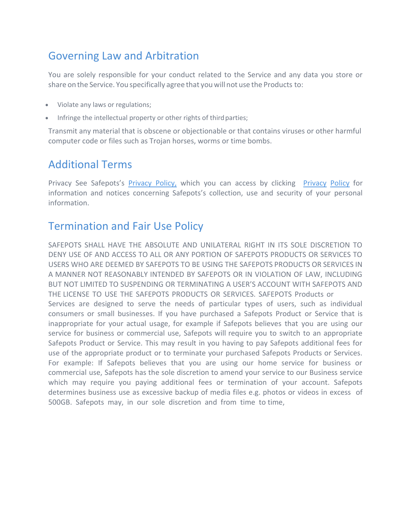# Governing Law and Arbitration

You are solely responsible for your conduct related to the Service and any data you store or share on the Service. You specifically agree that you will not use the Products to:

- Violate any laws or regulations;
- Infringe the intellectual property or other rights of third parties;

Transmit any material that is obscene or objectionable or that contains viruses or other harmful computer code or files such as Trojan horses, worms or time bombs.

## Additional Terms

Privacy See Safepots's [Privacy Policy,](https://safepots.com/privacy-policy.aspx) which you can access by clicking [Privacy](https://safepots.com/privacy-policy.aspx) [Policy](https://safepots.com/privacy-policy.aspx) for information and notices concerning Safepots's collection, use and security of your personal information.

## Termination and Fair Use Policy

SAFEPOTS SHALL HAVE THE ABSOLUTE AND UNILATERAL RIGHT IN ITS SOLE DISCRETION TO DENY USE OF AND ACCESS TO ALL OR ANY PORTION OF SAFEPOTS PRODUCTS OR SERVICES TO USERS WHO ARE DEEMED BY SAFEPOTS TO BE USING THE SAFEPOTS PRODUCTS OR SERVICES IN A MANNER NOT REASONABLY INTENDED BY SAFEPOTS OR IN VIOLATION OF LAW, INCLUDING BUT NOT LIMITED TO SUSPENDING OR TERMINATING A USER'S ACCOUNT WITH SAFEPOTS AND THE LICENSE TO USE THE SAFEPOTS PRODUCTS OR SERVICES. SAFEPOTS Products or Services are designed to serve the needs of particular types of users, such as individual consumers or small businesses. If you have purchased a Safepots Product or Service that is inappropriate for your actual usage, for example if Safepots believes that you are using our service for business or commercial use, Safepots will require you to switch to an appropriate Safepots Product or Service. This may result in you having to pay Safepots additional fees for use of the appropriate product or to terminate your purchased Safepots Products or Services. For example: If Safepots believes that you are using our home service for business or commercial use, Safepots has the sole discretion to amend your service to our Business service which may require you paying additional fees or termination of your account. Safepots determines business use as excessive backup of media files e.g. photos or videos in excess of 500GB. Safepots may, in our sole discretion and from time to time,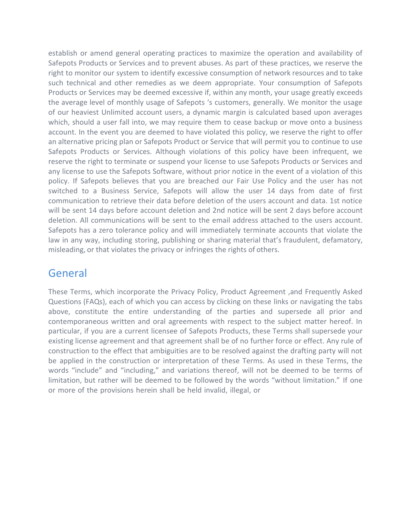establish or amend general operating practices to maximize the operation and availability of Safepots Products or Services and to prevent abuses. As part of these practices, we reserve the right to monitor our system to identify excessive consumption of network resources and to take such technical and other remedies as we deem appropriate. Your consumption of Safepots Products or Services may be deemed excessive if, within any month, your usage greatly exceeds the average level of monthly usage of Safepots 's customers, generally. We monitor the usage of our heaviest Unlimited account users, a dynamic margin is calculated based upon averages which, should a user fall into, we may require them to cease backup or move onto a business account. In the event you are deemed to have violated this policy, we reserve the right to offer an alternative pricing plan or Safepots Product or Service that will permit you to continue to use Safepots Products or Services. Although violations of this policy have been infrequent, we reserve the right to terminate or suspend your license to use Safepots Products or Services and any license to use the Safepots Software, without prior notice in the event of a violation of this policy. If Safepots believes that you are breached our Fair Use Policy and the user has not switched to a Business Service, Safepots will allow the user 14 days from date of first communication to retrieve their data before deletion of the users account and data. 1st notice will be sent 14 days before account deletion and 2nd notice will be sent 2 days before account deletion. All communications will be sent to the email address attached to the users account. Safepots has a zero tolerance policy and will immediately terminate accounts that violate the law in any way, including storing, publishing or sharing material that's fraudulent, defamatory, misleading, or that violates the privacy or infringes the rights of others.

#### General

These Terms, which incorporate the Privacy Policy, Product Agreement ,and Frequently Asked Questions (FAQs), each of which you can access by clicking on these links or navigating the tabs above, constitute the entire understanding of the parties and supersede all prior and contemporaneous written and oral agreements with respect to the subject matter hereof. In particular, if you are a current licensee of Safepots Products, these Terms shall supersede your existing license agreement and that agreement shall be of no further force or effect. Any rule of construction to the effect that ambiguities are to be resolved against the drafting party will not be applied in the construction or interpretation of these Terms. As used in these Terms, the words "include" and "including," and variations thereof, will not be deemed to be terms of limitation, but rather will be deemed to be followed by the words "without limitation." If one or more of the provisions herein shall be held invalid, illegal, or